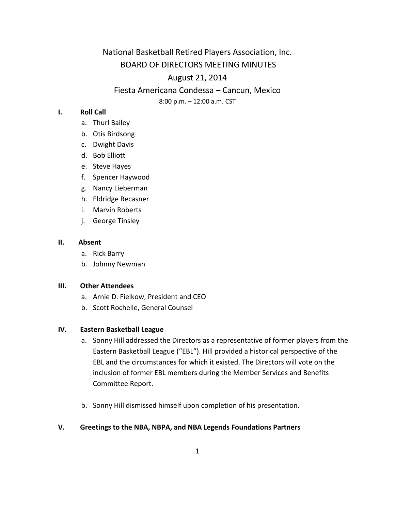National Basketball Retired Players Association, Inc. BOARD OF DIRECTORS MEETING MINUTES August 21, 2014

Fiesta Americana Condessa – Cancun, Mexico

8:00 p.m. – 12:00 a.m. CST

### **I. Roll Call**

- a. Thurl Bailey
- b. Otis Birdsong
- c. Dwight Davis
- d. Bob Elliott
- e. Steve Hayes
- f. Spencer Haywood
- g. Nancy Lieberman
- h. Eldridge Recasner
- i. Marvin Roberts
- j. George Tinsley

### **II. Absent**

- a. Rick Barry
- b. Johnny Newman

#### **III. Other Attendees**

- a. Arnie D. Fielkow, President and CEO
- b. Scott Rochelle, General Counsel

### **IV. Eastern Basketball League**

- a. Sonny Hill addressed the Directors as a representative of former players from the Eastern Basketball League ("EBL"). Hill provided a historical perspective of the EBL and the circumstances for which it existed. The Directors will vote on the inclusion of former EBL members during the Member Services and Benefits Committee Report.
- b. Sonny Hill dismissed himself upon completion of his presentation.

### **V. Greetings to the NBA, NBPA, and NBA Legends Foundations Partners**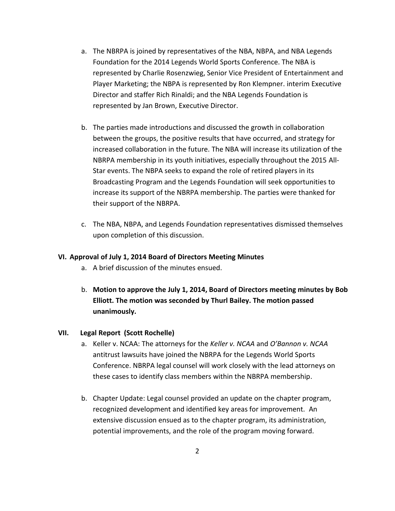- a. The NBRPA is joined by representatives of the NBA, NBPA, and NBA Legends Foundation for the 2014 Legends World Sports Conference. The NBA is represented by Charlie Rosenzwieg, Senior Vice President of Entertainment and Player Marketing; the NBPA is represented by Ron Klempner. interim Executive Director and staffer Rich Rinaldi; and the NBA Legends Foundation is represented by Jan Brown, Executive Director.
- b. The parties made introductions and discussed the growth in collaboration between the groups, the positive results that have occurred, and strategy for increased collaboration in the future. The NBA will increase its utilization of the NBRPA membership in its youth initiatives, especially throughout the 2015 All-Star events. The NBPA seeks to expand the role of retired players in its Broadcasting Program and the Legends Foundation will seek opportunities to increase its support of the NBRPA membership. The parties were thanked for their support of the NBRPA.
- c. The NBA, NBPA, and Legends Foundation representatives dismissed themselves upon completion of this discussion.

### **VI. Approval of July 1, 2014 Board of Directors Meeting Minutes**

- a. A brief discussion of the minutes ensued.
- b. **Motion to approve the July 1, 2014, Board of Directors meeting minutes by Bob Elliott. The motion was seconded by Thurl Bailey. The motion passed unanimously.**

### **VII. Legal Report (Scott Rochelle)**

- a. Keller v. NCAA: The attorneys for the *Keller v. NCAA* and *O'Bannon v. NCAA* antitrust lawsuits have joined the NBRPA for the Legends World Sports Conference. NBRPA legal counsel will work closely with the lead attorneys on these cases to identify class members within the NBRPA membership.
- b. Chapter Update: Legal counsel provided an update on the chapter program, recognized development and identified key areas for improvement. An extensive discussion ensued as to the chapter program, its administration, potential improvements, and the role of the program moving forward.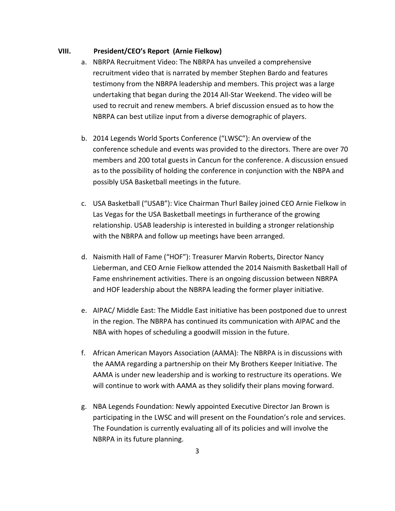### **VIII. President/CEO's Report (Arnie Fielkow)**

- a. NBRPA Recruitment Video: The NBRPA has unveiled a comprehensive recruitment video that is narrated by member Stephen Bardo and features testimony from the NBRPA leadership and members. This project was a large undertaking that began during the 2014 All-Star Weekend. The video will be used to recruit and renew members. A brief discussion ensued as to how the NBRPA can best utilize input from a diverse demographic of players.
- b. 2014 Legends World Sports Conference ("LWSC"): An overview of the conference schedule and events was provided to the directors. There are over 70 members and 200 total guests in Cancun for the conference. A discussion ensued as to the possibility of holding the conference in conjunction with the NBPA and possibly USA Basketball meetings in the future.
- c. USA Basketball ("USAB"): Vice Chairman Thurl Bailey joined CEO Arnie Fielkow in Las Vegas for the USA Basketball meetings in furtherance of the growing relationship. USAB leadership is interested in building a stronger relationship with the NBRPA and follow up meetings have been arranged.
- d. Naismith Hall of Fame ("HOF"): Treasurer Marvin Roberts, Director Nancy Lieberman, and CEO Arnie Fielkow attended the 2014 Naismith Basketball Hall of Fame enshrinement activities. There is an ongoing discussion between NBRPA and HOF leadership about the NBRPA leading the former player initiative.
- e. AIPAC/ Middle East: The Middle East initiative has been postponed due to unrest in the region. The NBRPA has continued its communication with AIPAC and the NBA with hopes of scheduling a goodwill mission in the future.
- f. African American Mayors Association (AAMA): The NBRPA is in discussions with the AAMA regarding a partnership on their My Brothers Keeper Initiative. The AAMA is under new leadership and is working to restructure its operations. We will continue to work with AAMA as they solidify their plans moving forward.
- g. NBA Legends Foundation: Newly appointed Executive Director Jan Brown is participating in the LWSC and will present on the Foundation's role and services. The Foundation is currently evaluating all of its policies and will involve the NBRPA in its future planning.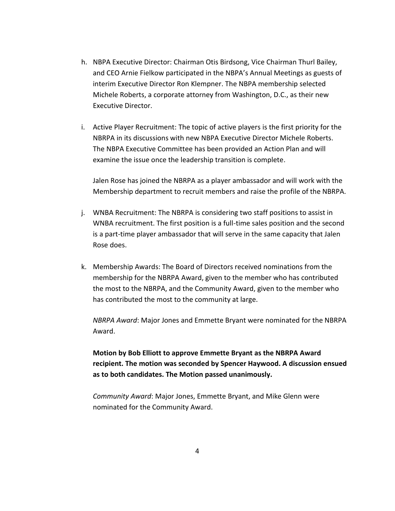- h. NBPA Executive Director: Chairman Otis Birdsong, Vice Chairman Thurl Bailey, and CEO Arnie Fielkow participated in the NBPA's Annual Meetings as guests of interim Executive Director Ron Klempner. The NBPA membership selected Michele Roberts, a corporate attorney from Washington, D.C., as their new Executive Director.
- i. Active Player Recruitment: The topic of active players is the first priority for the NBRPA in its discussions with new NBPA Executive Director Michele Roberts. The NBPA Executive Committee has been provided an Action Plan and will examine the issue once the leadership transition is complete.

Jalen Rose has joined the NBRPA as a player ambassador and will work with the Membership department to recruit members and raise the profile of the NBRPA.

- j. WNBA Recruitment: The NBRPA is considering two staff positions to assist in WNBA recruitment. The first position is a full-time sales position and the second is a part-time player ambassador that will serve in the same capacity that Jalen Rose does.
- k. Membership Awards: The Board of Directors received nominations from the membership for the NBRPA Award, given to the member who has contributed the most to the NBRPA, and the Community Award, given to the member who has contributed the most to the community at large.

*NBRPA Award*: Major Jones and Emmette Bryant were nominated for the NBRPA Award.

**Motion by Bob Elliott to approve Emmette Bryant as the NBRPA Award recipient. The motion was seconded by Spencer Haywood. A discussion ensued as to both candidates. The Motion passed unanimously.** 

*Community Award*: Major Jones, Emmette Bryant, and Mike Glenn were nominated for the Community Award.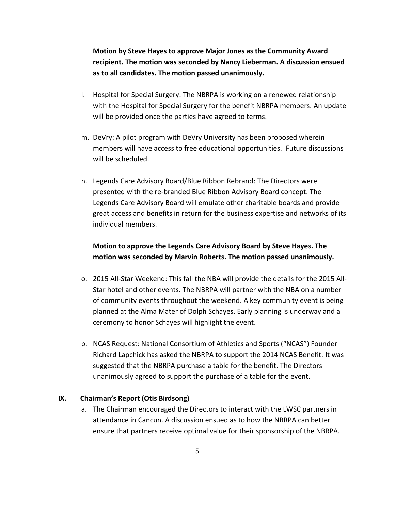**Motion by Steve Hayes to approve Major Jones as the Community Award recipient. The motion was seconded by Nancy Lieberman. A discussion ensued as to all candidates. The motion passed unanimously.** 

- l. Hospital for Special Surgery: The NBRPA is working on a renewed relationship with the Hospital for Special Surgery for the benefit NBRPA members. An update will be provided once the parties have agreed to terms.
- m. DeVry: A pilot program with DeVry University has been proposed wherein members will have access to free educational opportunities. Future discussions will be scheduled.
- n. Legends Care Advisory Board/Blue Ribbon Rebrand: The Directors were presented with the re-branded Blue Ribbon Advisory Board concept. The Legends Care Advisory Board will emulate other charitable boards and provide great access and benefits in return for the business expertise and networks of its individual members.

## **Motion to approve the Legends Care Advisory Board by Steve Hayes. The motion was seconded by Marvin Roberts. The motion passed unanimously.**

- o. 2015 All-Star Weekend: This fall the NBA will provide the details for the 2015 All-Star hotel and other events. The NBRPA will partner with the NBA on a number of community events throughout the weekend. A key community event is being planned at the Alma Mater of Dolph Schayes. Early planning is underway and a ceremony to honor Schayes will highlight the event.
- p. NCAS Request: National Consortium of Athletics and Sports ("NCAS") Founder Richard Lapchick has asked the NBRPA to support the 2014 NCAS Benefit. It was suggested that the NBRPA purchase a table for the benefit. The Directors unanimously agreed to support the purchase of a table for the event.

### **IX. Chairman's Report (Otis Birdsong)**

a. The Chairman encouraged the Directors to interact with the LWSC partners in attendance in Cancun. A discussion ensued as to how the NBRPA can better ensure that partners receive optimal value for their sponsorship of the NBRPA.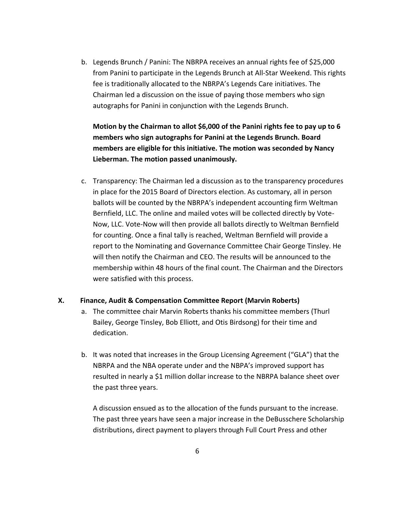b. Legends Brunch / Panini: The NBRPA receives an annual rights fee of \$25,000 from Panini to participate in the Legends Brunch at All-Star Weekend. This rights fee is traditionally allocated to the NBRPA's Legends Care initiatives. The Chairman led a discussion on the issue of paying those members who sign autographs for Panini in conjunction with the Legends Brunch.

**Motion by the Chairman to allot \$6,000 of the Panini rights fee to pay up to 6 members who sign autographs for Panini at the Legends Brunch. Board members are eligible for this initiative. The motion was seconded by Nancy Lieberman. The motion passed unanimously.** 

c. Transparency: The Chairman led a discussion as to the transparency procedures in place for the 2015 Board of Directors election. As customary, all in person ballots will be counted by the NBRPA's independent accounting firm Weltman Bernfield, LLC. The online and mailed votes will be collected directly by Vote-Now, LLC. Vote-Now will then provide all ballots directly to Weltman Bernfield for counting. Once a final tally is reached, Weltman Bernfield will provide a report to the Nominating and Governance Committee Chair George Tinsley. He will then notify the Chairman and CEO. The results will be announced to the membership within 48 hours of the final count. The Chairman and the Directors were satisfied with this process.

### **X. Finance, Audit & Compensation Committee Report (Marvin Roberts)**

- a. The committee chair Marvin Roberts thanks his committee members (Thurl Bailey, George Tinsley, Bob Elliott, and Otis Birdsong) for their time and dedication.
- b. It was noted that increases in the Group Licensing Agreement ("GLA") that the NBRPA and the NBA operate under and the NBPA's improved support has resulted in nearly a \$1 million dollar increase to the NBRPA balance sheet over the past three years.

A discussion ensued as to the allocation of the funds pursuant to the increase. The past three years have seen a major increase in the DeBusschere Scholarship distributions, direct payment to players through Full Court Press and other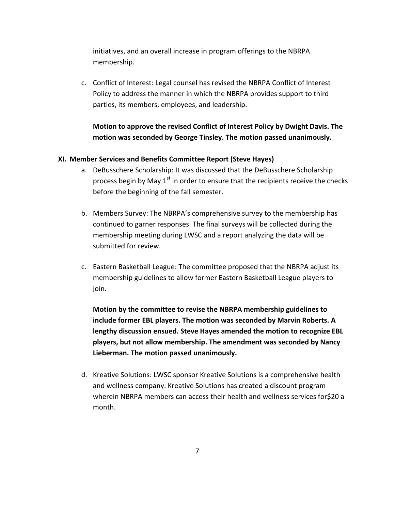initiatives, and an overall increase in program offerings to the NBRPA membership.

c. Conflict of Interest: Legal counsel has revised the NBRPA Conflict of Interest Policy to address the manner in which the NBRPA provides support to third parties, its members, employees, and leadership.

# **Motion to approve the revised Conflict of Interest Policy by Dwight Davis. The motion was seconded by George Tinsley. The motion passed unanimously.**

### **XI. Member Services and Benefits Committee Report (Steve Hayes)**

- a. DeBusschere Scholarship: It was discussed that the DeBusschere Scholarship process begin by May  $1<sup>st</sup>$  in order to ensure that the recipients receive the checks before the beginning of the fall semester.
- b. Members Survey: The NBRPA's comprehensive survey to the membership has continued to garner responses. The final surveys will be collected during the membership meeting during LWSC and a report analyzing the data will be submitted for review.
- c. Eastern Basketball League: The committee proposed that the NBRPA adjust its membership guidelines to allow former Eastern Basketball League players to join.

**Motion by the committee to revise the NBRPA membership guidelines to include former EBL players. The motion was seconded by Marvin Roberts. A lengthy discussion ensued. Steve Hayes amended the motion to recognize EBL players, but not allow membership. The amendment was seconded by Nancy Lieberman. The motion passed unanimously.** 

d. Kreative Solutions: LWSC sponsor Kreative Solutions is a comprehensive health and wellness company. Kreative Solutions has created a discount program wherein NBRPA members can access their health and wellness services for\$20 a month.